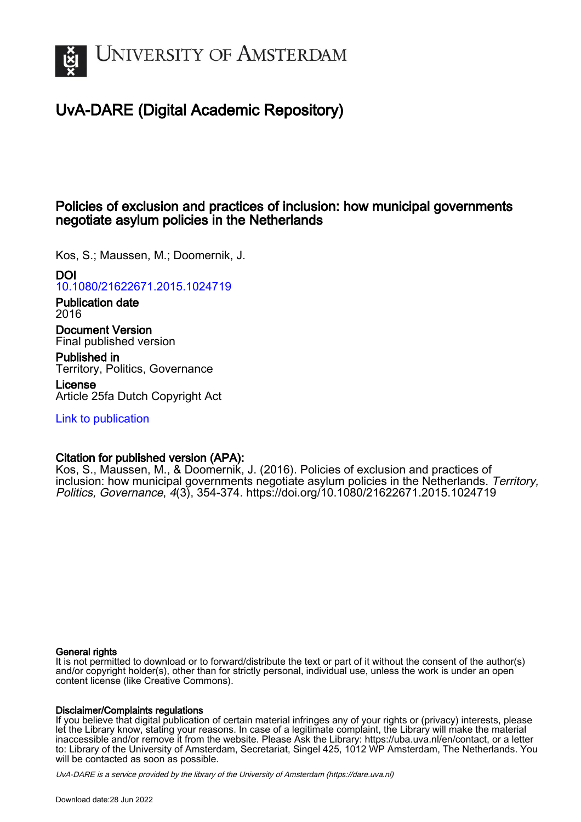

# UvA-DARE (Digital Academic Repository)

# Policies of exclusion and practices of inclusion: how municipal governments negotiate asylum policies in the Netherlands

Kos, S.; Maussen, M.; Doomernik, J.

# DOI

[10.1080/21622671.2015.1024719](https://doi.org/10.1080/21622671.2015.1024719)

Publication date 2016

Document Version Final published version

Published in Territory, Politics, Governance

License Article 25fa Dutch Copyright Act

[Link to publication](https://dare.uva.nl/personal/pure/en/publications/policies-of-exclusion-and-practices-of-inclusion-how-municipal-governments-negotiate-asylum-policies-in-the-netherlands(f3a538c9-ba48-4cc3-966b-3fe276dbb9c8).html)

# Citation for published version (APA):

Kos, S., Maussen, M., & Doomernik, J. (2016). Policies of exclusion and practices of inclusion: how municipal governments negotiate asylum policies in the Netherlands. Territory, Politics, Governance, 4(3), 354-374.<https://doi.org/10.1080/21622671.2015.1024719>

# General rights

It is not permitted to download or to forward/distribute the text or part of it without the consent of the author(s) and/or copyright holder(s), other than for strictly personal, individual use, unless the work is under an open content license (like Creative Commons).

## Disclaimer/Complaints regulations

If you believe that digital publication of certain material infringes any of your rights or (privacy) interests, please let the Library know, stating your reasons. In case of a legitimate complaint, the Library will make the material inaccessible and/or remove it from the website. Please Ask the Library: https://uba.uva.nl/en/contact, or a letter to: Library of the University of Amsterdam, Secretariat, Singel 425, 1012 WP Amsterdam, The Netherlands. You will be contacted as soon as possible.

UvA-DARE is a service provided by the library of the University of Amsterdam (http*s*://dare.uva.nl)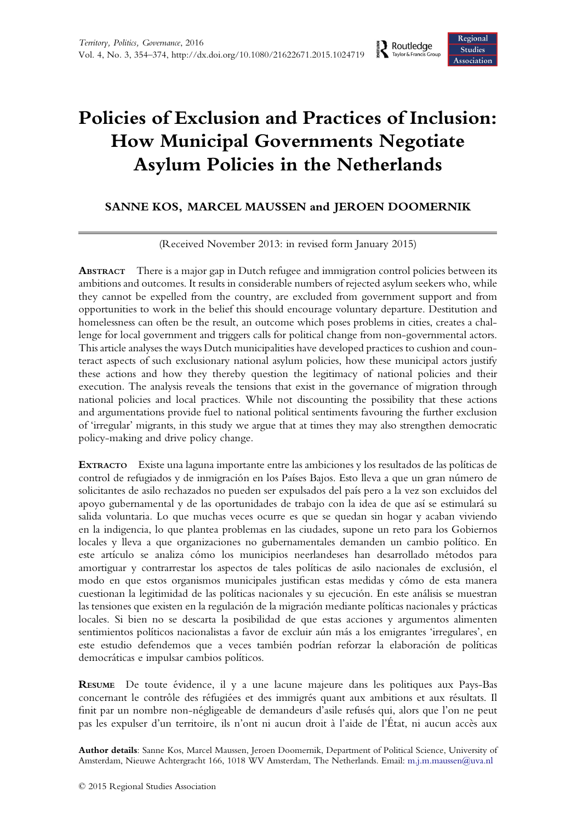# Policies of Exclusion and Practices of Inclusion: How Municipal Governments Negotiate Asylum Policies in the Netherlands

# SANNE KOS, MARCEL MAUSSEN and JEROEN DOOMERNIK

(Received November 2013: in revised form January 2015)

ABSTRACT There is a major gap in Dutch refugee and immigration control policies between its ambitions and outcomes. It results in considerable numbers of rejected asylum seekers who, while they cannot be expelled from the country, are excluded from government support and from opportunities to work in the belief this should encourage voluntary departure. Destitution and homelessness can often be the result, an outcome which poses problems in cities, creates a challenge for local government and triggers calls for political change from non-governmental actors. This article analyses the ways Dutch municipalities have developed practices to cushion and counteract aspects of such exclusionary national asylum policies, how these municipal actors justify these actions and how they thereby question the legitimacy of national policies and their execution. The analysis reveals the tensions that exist in the governance of migration through national policies and local practices. While not discounting the possibility that these actions and argumentations provide fuel to national political sentiments favouring the further exclusion of 'irregular' migrants, in this study we argue that at times they may also strengthen democratic policy-making and drive policy change.

EXTRACTO Existe una laguna importante entre las ambiciones y los resultados de las políticas de control de refugiados y de inmigración en los Países Bajos. Esto lleva a que un gran número de solicitantes de asilo rechazados no pueden ser expulsados del país pero a la vez son excluidos del apoyo gubernamental y de las oportunidades de trabajo con la idea de que así se estimulará su salida voluntaria. Lo que muchas veces ocurre es que se quedan sin hogar y acaban viviendo en la indigencia, lo que plantea problemas en las ciudades, supone un reto para los Gobiernos locales y lleva a que organizaciones no gubernamentales demanden un cambio político. En este artículo se analiza cómo los municipios neerlandeses han desarrollado métodos para amortiguar y contrarrestar los aspectos de tales políticas de asilo nacionales de exclusión, el modo en que estos organismos municipales justifican estas medidas y cómo de esta manera cuestionan la legitimidad de las políticas nacionales y su ejecución. En este análisis se muestran las tensiones que existen en la regulación de la migración mediante políticas nacionales y prácticas locales. Si bien no se descarta la posibilidad de que estas acciones y argumentos alimenten sentimientos políticos nacionalistas a favor de excluir aún más a los emigrantes 'irregulares', en este estudio defendemos que a veces también podrían reforzar la elaboración de políticas democráticas e impulsar cambios políticos.

RESUME De toute évidence, il y a une lacune majeure dans les politiques aux Pays-Bas concernant le contrôle des réfugiées et des immigrés quant aux ambitions et aux résultats. Il finit par un nombre non-négligeable de demandeurs d'asile refusés qui, alors que l'on ne peut pas les expulser d'un territoire, ils n'ont ni aucun droit à l'aide de l'État, ni aucun accès aux

Author details: Sanne Kos, Marcel Maussen, Jeroen Doomernik, Department of Political Science, University of Amsterdam, Nieuwe Achtergracht 166, 1018 WV Amsterdam, The Netherlands. Email: [m.j.m.maussen@uva.nl](mailto:m.j.m.maussen@uva.nl)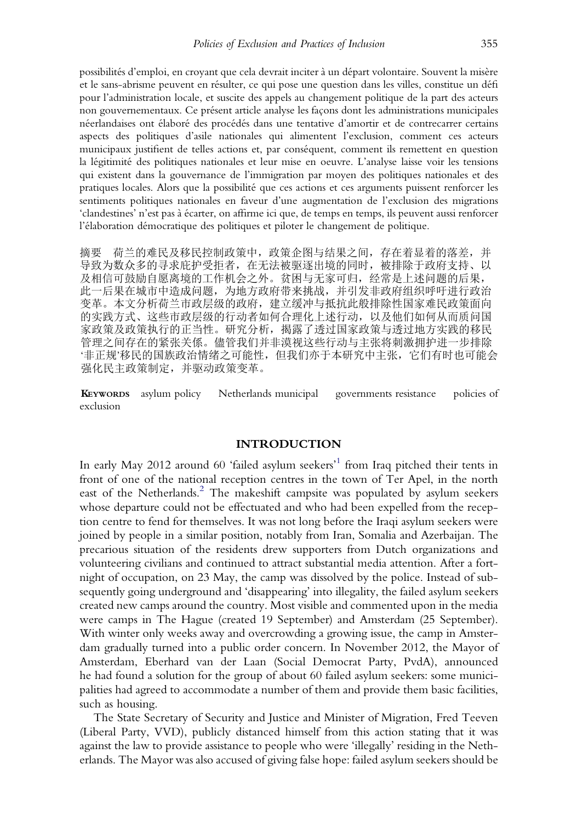possibilités d'emploi, en croyant que cela devrait inciter à un départ volontaire. Souvent la misère et le sans-abrisme peuvent en résulter, ce qui pose une question dans les villes, constitue un défi pour l'administration locale, et suscite des appels au changement politique de la part des acteurs non gouvernementaux. Ce présent article analyse les façons dont les administrations municipales néerlandaises ont élaboré des procédés dans une tentative d'amortir et de contrecarrer certains aspects des politiques d'asile nationales qui alimentent l'exclusion, comment ces acteurs municipaux justifient de telles actions et, par conséquent, comment ils remettent en question la légitimité des politiques nationales et leur mise en oeuvre. L'analyse laisse voir les tensions qui existent dans la gouvernance de l'immigration par moyen des politiques nationales et des pratiques locales. Alors que la possibilité que ces actions et ces arguments puissent renforcer les sentiments politiques nationales en faveur d'une augmentation de l'exclusion des migrations 'clandestines' n'est pas à écarter, on affirme ici que, de temps en temps, ils peuvent aussi renforcer l'élaboration démocratique des politiques et piloter le changement de politique.

摘要 荷兰的难民及移民控制政策中,政策企图与结果之间,存在着显着的落差,并 导致为数众多的寻求庇护受拒者,在无法被驱逐出境的同时,被排除于政府支持、以 及相信可鼓励自愿离境的工作机会之外。贫困与无家可归,经常是上述问题的后果, 此一后果在城市中造成问题,为地方政府带来挑战,并引发非政府组织呼吁进行政治 变革。本文分析荷兰市政层级的政府,建立缓冲与抵抗此般排除性国家难民政策面向 的实践方式、这些市政层级的行动者如何合理化上述行动,以及他们如何从而质问国 家政策及政策执行的正当性。研究分析,揭露了透过国家政策与透过地方实践的移民 管理之间存在的紧张关係。儘管我们并非漠视这些行动与主张将刺激拥护进一步排除 '非正规'移民的国族政治情绪之可能性,但我们亦于本研究中主张,它们有时也可能会 强化民主政策制定,并驱动政策变革。

KEYWORDS asylum policy Netherlands municipal governments resistance policies of exclusion

#### INTRODUCTION

In early May 20[1](#page-17-0)2 around 60 'failed asylum seekers'<sup>1</sup> from Iraq pitched their tents in front of one of the national reception centres in the town of Ter Apel, in the north east of the Netherlands.<sup>[2](#page-17-0)</sup> The makeshift campsite was populated by asylum seekers whose departure could not be effectuated and who had been expelled from the reception centre to fend for themselves. It was not long before the Iraqi asylum seekers were joined by people in a similar position, notably from Iran, Somalia and Azerbaijan. The precarious situation of the residents drew supporters from Dutch organizations and volunteering civilians and continued to attract substantial media attention. After a fortnight of occupation, on 23 May, the camp was dissolved by the police. Instead of subsequently going underground and 'disappearing' into illegality, the failed asylum seekers created new camps around the country. Most visible and commented upon in the media were camps in The Hague (created 19 September) and Amsterdam (25 September). With winter only weeks away and overcrowding a growing issue, the camp in Amsterdam gradually turned into a public order concern. In November 2012, the Mayor of Amsterdam, Eberhard van der Laan (Social Democrat Party, PvdA), announced he had found a solution for the group of about 60 failed asylum seekers: some municipalities had agreed to accommodate a number of them and provide them basic facilities, such as housing.

The State Secretary of Security and Justice and Minister of Migration, Fred Teeven (Liberal Party, VVD), publicly distanced himself from this action stating that it was against the law to provide assistance to people who were 'illegally' residing in the Netherlands. The Mayor was also accused of giving false hope: failed asylum seekers should be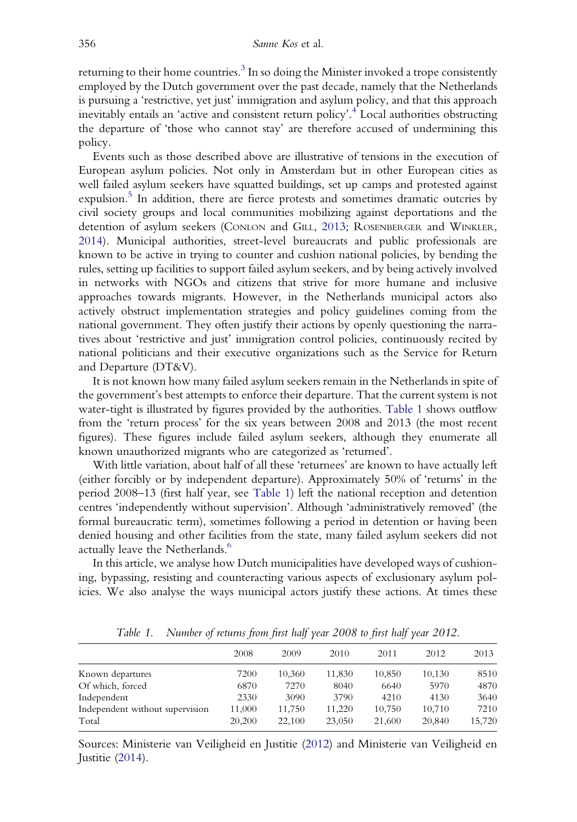returning to their home countries.<sup>[3](#page-17-0)</sup> In so doing the Minister invoked a trope consistently employed by the Dutch government over the past decade, namely that the Netherlands is pursuing a 'restrictive, yet just' immigration and asylum policy, and that this approach inevitably entails an 'active and consistent return policy'. [4](#page-18-0) Local authorities obstructing the departure of 'those who cannot stay' are therefore accused of undermining this policy.

Events such as those described above are illustrative of tensions in the execution of European asylum policies. Not only in Amsterdam but in other European cities as well failed asylum seekers have squatted buildings, set up camps and protested against expulsion.<sup>5</sup> In addition, there are fierce protests and sometimes dramatic outcries by civil society groups and local communities mobilizing against deportations and the detention of asylum seekers (CONLON and GILL, [2013;](#page-19-0) ROSENBERGER and WINKLER, [2014\)](#page-21-0). Municipal authorities, street-level bureaucrats and public professionals are known to be active in trying to counter and cushion national policies, by bending the rules, setting up facilities to support failed asylum seekers, and by being actively involved in networks with NGOs and citizens that strive for more humane and inclusive approaches towards migrants. However, in the Netherlands municipal actors also actively obstruct implementation strategies and policy guidelines coming from the national government. They often justify their actions by openly questioning the narratives about 'restrictive and just' immigration control policies, continuously recited by national politicians and their executive organizations such as the Service for Return and Departure (DT&V).

It is not known how many failed asylum seekers remain in the Netherlands in spite of the government's best attempts to enforce their departure. That the current system is not water-tight is illustrated by figures provided by the authorities. Table 1 shows outflow from the 'return process' for the six years between 2008 and 2013 (the most recent figures). These figures include failed asylum seekers, although they enumerate all known unauthorized migrants who are categorized as 'returned'.

With little variation, about half of all these 'returnees' are known to have actually left (either forcibly or by independent departure). Approximately 50% of 'returns' in the period 2008–13 (first half year, see Table 1) left the national reception and detention centres 'independently without supervision'. Although 'administratively removed' (the formal bureaucratic term), sometimes following a period in detention or having been denied housing and other facilities from the state, many failed asylum seekers did not actually leave the Netherlands.<sup>6</sup>

In this article, we analyse how Dutch municipalities have developed ways of cushioning, bypassing, resisting and counteracting various aspects of exclusionary asylum policies. We also analyse the ways municipal actors justify these actions. At times these

|                                 | 2008   | 2009   | 2010   | 2011   | 2012   | 2013   |
|---------------------------------|--------|--------|--------|--------|--------|--------|
| Known departures                | 7200   | 10,360 | 11,830 | 10,850 | 10,130 | 8510   |
| Of which, forced                | 6870   | 7270   | 8040   | 6640   | 5970   | 4870   |
| Independent                     | 2330   | 3090   | 3790   | 4210   | 4130   | 3640   |
| Independent without supervision | 11.000 | 11,750 | 11.220 | 10.750 | 10,710 | 7210   |
| Total                           | 20,200 | 22,100 | 23,050 | 21,600 | 20,840 | 15,720 |
|                                 |        |        |        |        |        |        |

Table 1. Number of returns from first half year 2008 to first half year 2012.

Sources: Ministerie van Veiligheid en Justitie [\(2012\)](#page-20-0) and Ministerie van Veiligheid en Justitie ([2014](#page-20-0)).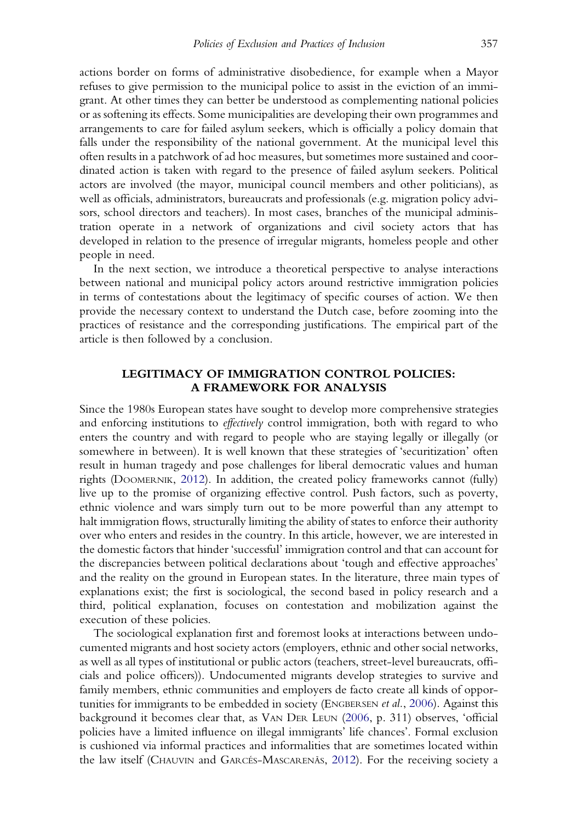actions border on forms of administrative disobedience, for example when a Mayor refuses to give permission to the municipal police to assist in the eviction of an immigrant. At other times they can better be understood as complementing national policies or as softening its effects. Some municipalities are developing their own programmes and arrangements to care for failed asylum seekers, which is officially a policy domain that falls under the responsibility of the national government. At the municipal level this often results in a patchwork of ad hoc measures, but sometimes more sustained and coordinated action is taken with regard to the presence of failed asylum seekers. Political actors are involved (the mayor, municipal council members and other politicians), as well as officials, administrators, bureaucrats and professionals (e.g. migration policy advisors, school directors and teachers). In most cases, branches of the municipal administration operate in a network of organizations and civil society actors that has developed in relation to the presence of irregular migrants, homeless people and other people in need.

In the next section, we introduce a theoretical perspective to analyse interactions between national and municipal policy actors around restrictive immigration policies in terms of contestations about the legitimacy of specific courses of action. We then provide the necessary context to understand the Dutch case, before zooming into the practices of resistance and the corresponding justifications. The empirical part of the article is then followed by a conclusion.

### LEGITIMACY OF IMMIGRATION CONTROL POLICIES: A FRAMEWORK FOR ANALYSIS

Since the 1980s European states have sought to develop more comprehensive strategies and enforcing institutions to *effectively* control immigration, both with regard to who enters the country and with regard to people who are staying legally or illegally (or somewhere in between). It is well known that these strategies of 'securitization' often result in human tragedy and pose challenges for liberal democratic values and human rights (DOOMERNIK, [2012](#page-19-0)). In addition, the created policy frameworks cannot (fully) live up to the promise of organizing effective control. Push factors, such as poverty, ethnic violence and wars simply turn out to be more powerful than any attempt to halt immigration flows, structurally limiting the ability of states to enforce their authority over who enters and resides in the country. In this article, however, we are interested in the domestic factors that hinder 'successful' immigration control and that can account for the discrepancies between political declarations about 'tough and effective approaches' and the reality on the ground in European states. In the literature, three main types of explanations exist; the first is sociological, the second based in policy research and a third, political explanation, focuses on contestation and mobilization against the execution of these policies.

The sociological explanation first and foremost looks at interactions between undocumented migrants and host society actors (employers, ethnic and other social networks, as well as all types of institutional or public actors (teachers, street-level bureaucrats, officials and police officers)). Undocumented migrants develop strategies to survive and family members, ethnic communities and employers de facto create all kinds of oppor-tunities for immigrants to be embedded in society (ENGBERSEN et al., [2006\)](#page-20-0). Against this background it becomes clear that, as VAN DER LEUN [\(2006,](#page-21-0) p. 311) observes, 'official policies have a limited influence on illegal immigrants' life chances'. Formal exclusion is cushioned via informal practices and informalities that are sometimes located within the law itself (CHAUVIN and GARCÉS-MASCARENÃS, [2012](#page-19-0)). For the receiving society a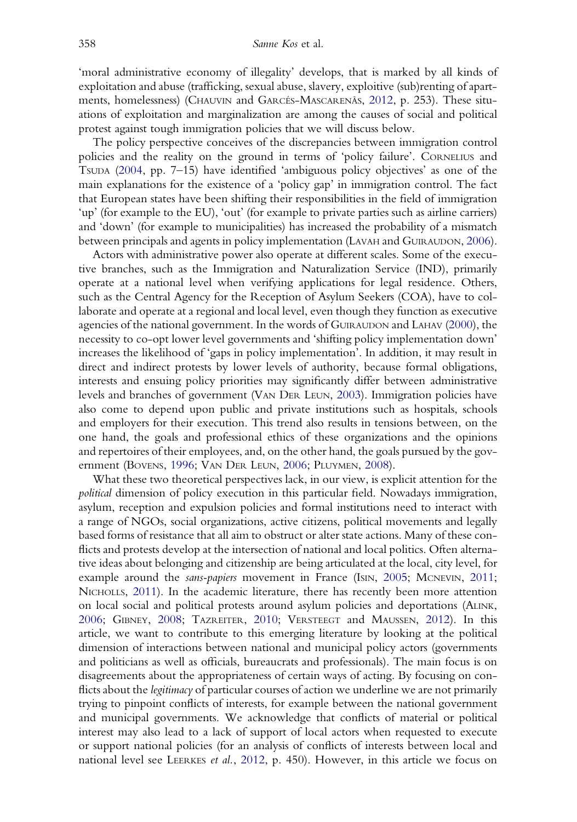'moral administrative economy of illegality' develops, that is marked by all kinds of exploitation and abuse (trafficking, sexual abuse, slavery, exploitive (sub)renting of apartments, homelessness) (CHAUVIN and GARCÉS-MASCARENÃS, [2012](#page-19-0), p. 253). These situations of exploitation and marginalization are among the causes of social and political protest against tough immigration policies that we will discuss below.

The policy perspective conceives of the discrepancies between immigration control policies and the reality on the ground in terms of 'policy failure'. CORNELIUS and TSUDA [\(2004,](#page-19-0) pp. 7–15) have identified 'ambiguous policy objectives' as one of the main explanations for the existence of a 'policy gap' in immigration control. The fact that European states have been shifting their responsibilities in the field of immigration 'up' (for example to the EU), 'out' (for example to private parties such as airline carriers) and 'down' (for example to municipalities) has increased the probability of a mismatch between principals and agents in policy implementation (LAVAH and GUIRAUDON, [2006\)](#page-20-0).

Actors with administrative power also operate at different scales. Some of the executive branches, such as the Immigration and Naturalization Service (IND), primarily operate at a national level when verifying applications for legal residence. Others, such as the Central Agency for the Reception of Asylum Seekers (COA), have to collaborate and operate at a regional and local level, even though they function as executive agencies of the national government. In the words of GUIRAUDON and LAHAV ([2000](#page-20-0)), the necessity to co-opt lower level governments and 'shifting policy implementation down' increases the likelihood of 'gaps in policy implementation'. In addition, it may result in direct and indirect protests by lower levels of authority, because formal obligations, interests and ensuing policy priorities may significantly differ between administrative levels and branches of government (VAN DER LEUN, [2003\)](#page-21-0). Immigration policies have also come to depend upon public and private institutions such as hospitals, schools and employers for their execution. This trend also results in tensions between, on the one hand, the goals and professional ethics of these organizations and the opinions and repertoires of their employees, and, on the other hand, the goals pursued by the government (BOVENS, [1996](#page-19-0); VAN DER LEUN, [2006;](#page-21-0) PLUYMEN, [2008\)](#page-21-0).

What these two theoretical perspectives lack, in our view, is explicit attention for the political dimension of policy execution in this particular field. Nowadays immigration, asylum, reception and expulsion policies and formal institutions need to interact with a range of NGOs, social organizations, active citizens, political movements and legally based forms of resistance that all aim to obstruct or alter state actions. Many of these conflicts and protests develop at the intersection of national and local politics. Often alternative ideas about belonging and citizenship are being articulated at the local, city level, for example around the sans-papiers movement in France (ISIN, [2005](#page-20-0); MCNEVIN, [2011;](#page-20-0) NICHOLLS, [2011](#page-20-0)). In the academic literature, there has recently been more attention on local social and political protests around asylum policies and deportations (ALINK, [2006;](#page-19-0) GIBNEY, [2008;](#page-20-0) TAZREITER, [2010;](#page-21-0) VERSTEEGT and MAUSSEN, [2012\)](#page-21-0). In this article, we want to contribute to this emerging literature by looking at the political dimension of interactions between national and municipal policy actors (governments and politicians as well as officials, bureaucrats and professionals). The main focus is on disagreements about the appropriateness of certain ways of acting. By focusing on conflicts about the *legitimacy* of particular courses of action we underline we are not primarily trying to pinpoint conflicts of interests, for example between the national government and municipal governments. We acknowledge that conflicts of material or political interest may also lead to a lack of support of local actors when requested to execute or support national policies (for an analysis of conflicts of interests between local and national level see LEERKES *et al.*, [2012](#page-20-0), p. 450). However, in this article we focus on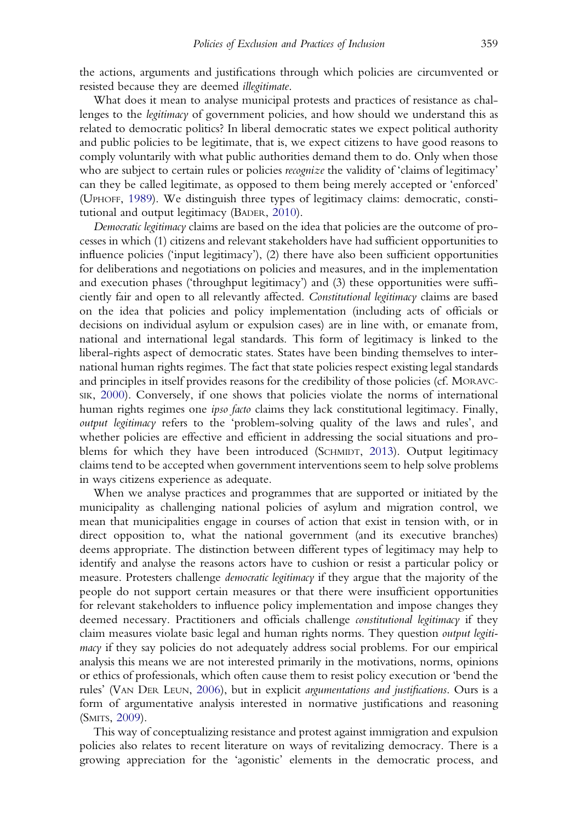the actions, arguments and justifications through which policies are circumvented or resisted because they are deemed illegitimate.

What does it mean to analyse municipal protests and practices of resistance as challenges to the legitimacy of government policies, and how should we understand this as related to democratic politics? In liberal democratic states we expect political authority and public policies to be legitimate, that is, we expect citizens to have good reasons to comply voluntarily with what public authorities demand them to do. Only when those who are subject to certain rules or policies *recognize* the validity of 'claims of legitimacy' can they be called legitimate, as opposed to them being merely accepted or 'enforced' (UPHOFF, [1989](#page-21-0)). We distinguish three types of legitimacy claims: democratic, constitutional and output legitimacy (BADER, [2010](#page-19-0)).

Democratic legitimacy claims are based on the idea that policies are the outcome of processes in which (1) citizens and relevant stakeholders have had sufficient opportunities to influence policies ('input legitimacy'), (2) there have also been sufficient opportunities for deliberations and negotiations on policies and measures, and in the implementation and execution phases ('throughput legitimacy') and (3) these opportunities were sufficiently fair and open to all relevantly affected. Constitutional legitimacy claims are based on the idea that policies and policy implementation (including acts of officials or decisions on individual asylum or expulsion cases) are in line with, or emanate from, national and international legal standards. This form of legitimacy is linked to the liberal-rights aspect of democratic states. States have been binding themselves to international human rights regimes. The fact that state policies respect existing legal standards and principles in itself provides reasons for the credibility of those policies (cf. MORAVC-SIK, [2000\)](#page-20-0). Conversely, if one shows that policies violate the norms of international human rights regimes one *ipso facto* claims they lack constitutional legitimacy. Finally, output legitimacy refers to the 'problem-solving quality of the laws and rules', and whether policies are effective and efficient in addressing the social situations and problems for which they have been introduced (SCHMIDT, [2013](#page-21-0)). Output legitimacy claims tend to be accepted when government interventions seem to help solve problems in ways citizens experience as adequate.

When we analyse practices and programmes that are supported or initiated by the municipality as challenging national policies of asylum and migration control, we mean that municipalities engage in courses of action that exist in tension with, or in direct opposition to, what the national government (and its executive branches) deems appropriate. The distinction between different types of legitimacy may help to identify and analyse the reasons actors have to cushion or resist a particular policy or measure. Protesters challenge *democratic legitimacy* if they argue that the majority of the people do not support certain measures or that there were insufficient opportunities for relevant stakeholders to influence policy implementation and impose changes they deemed necessary. Practitioners and officials challenge *constitutional legitimacy* if they claim measures violate basic legal and human rights norms. They question output legitimacy if they say policies do not adequately address social problems. For our empirical analysis this means we are not interested primarily in the motivations, norms, opinions or ethics of professionals, which often cause them to resist policy execution or 'bend the rules' (VAN DER LEUN, [2006\)](#page-21-0), but in explicit argumentations and justifications. Ours is a form of argumentative analysis interested in normative justifications and reasoning (SMITS, [2009](#page-21-0)).

This way of conceptualizing resistance and protest against immigration and expulsion policies also relates to recent literature on ways of revitalizing democracy. There is a growing appreciation for the 'agonistic' elements in the democratic process, and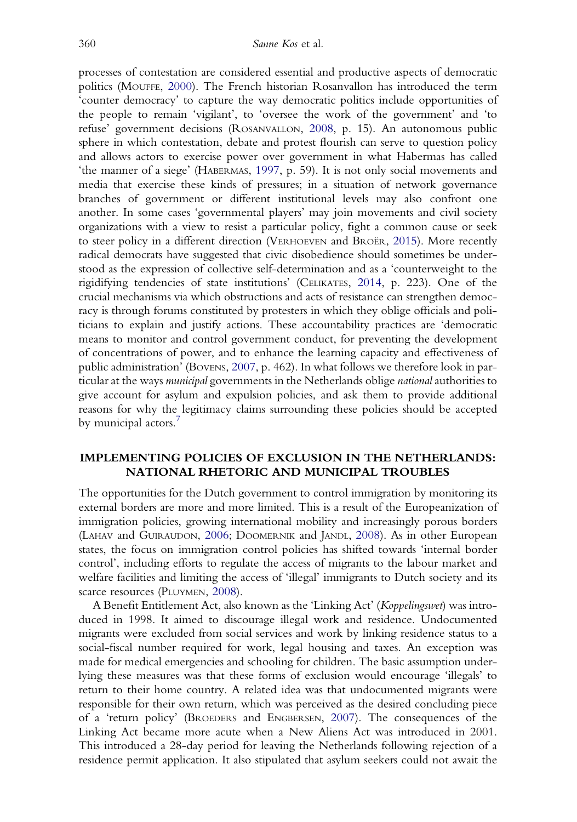processes of contestation are considered essential and productive aspects of democratic politics (MOUFFE, [2000](#page-20-0)). The French historian Rosanvallon has introduced the term 'counter democracy' to capture the way democratic politics include opportunities of the people to remain 'vigilant', to 'oversee the work of the government' and 'to refuse' government decisions (ROSANVALLON, [2008](#page-21-0), p. 15). An autonomous public sphere in which contestation, debate and protest flourish can serve to question policy and allows actors to exercise power over government in what Habermas has called 'the manner of a siege' (HABERMAS, [1997](#page-20-0), p. 59). It is not only social movements and media that exercise these kinds of pressures; in a situation of network governance branches of government or different institutional levels may also confront one another. In some cases 'governmental players' may join movements and civil society organizations with a view to resist a particular policy, fight a common cause or seek to steer policy in a different direction (VERHOEVEN and BROËR, [2015\)](#page-21-0). More recently radical democrats have suggested that civic disobedience should sometimes be understood as the expression of collective self-determination and as a 'counterweight to the rigidifying tendencies of state institutions' (CELIKATES, [2014](#page-19-0), p. 223). One of the crucial mechanisms via which obstructions and acts of resistance can strengthen democracy is through forums constituted by protesters in which they oblige officials and politicians to explain and justify actions. These accountability practices are 'democratic means to monitor and control government conduct, for preventing the development of concentrations of power, and to enhance the learning capacity and effectiveness of public administration' (BOVENS, [2007,](#page-19-0) p. 462). In what follows we therefore look in particular at the ways municipal governments in the Netherlands oblige national authorities to give account for asylum and expulsion policies, and ask them to provide additional reasons for why the legitimacy claims surrounding these policies should be accepted by municipal actors.<sup>7</sup>

## IMPLEMENTING POLICIES OF EXCLUSION IN THE NETHERLANDS: NATIONAL RHETORIC AND MUNICIPAL TROUBLES

The opportunities for the Dutch government to control immigration by monitoring its external borders are more and more limited. This is a result of the Europeanization of immigration policies, growing international mobility and increasingly porous borders (LAHAV and GUIRAUDON, [2006;](#page-20-0) DOOMERNIK and JANDL, [2008\)](#page-20-0). As in other European states, the focus on immigration control policies has shifted towards 'internal border control', including efforts to regulate the access of migrants to the labour market and welfare facilities and limiting the access of 'illegal' immigrants to Dutch society and its scarce resources (PLUYMEN, [2008](#page-21-0)).

A Benefit Entitlement Act, also known as the 'Linking Act' (Koppelingswet) was introduced in 1998. It aimed to discourage illegal work and residence. Undocumented migrants were excluded from social services and work by linking residence status to a social-fiscal number required for work, legal housing and taxes. An exception was made for medical emergencies and schooling for children. The basic assumption underlying these measures was that these forms of exclusion would encourage 'illegals' to return to their home country. A related idea was that undocumented migrants were responsible for their own return, which was perceived as the desired concluding piece of a 'return policy' (BROEDERS and ENGBERSEN, [2007](#page-19-0)). The consequences of the Linking Act became more acute when a New Aliens Act was introduced in 2001. This introduced a 28-day period for leaving the Netherlands following rejection of a residence permit application. It also stipulated that asylum seekers could not await the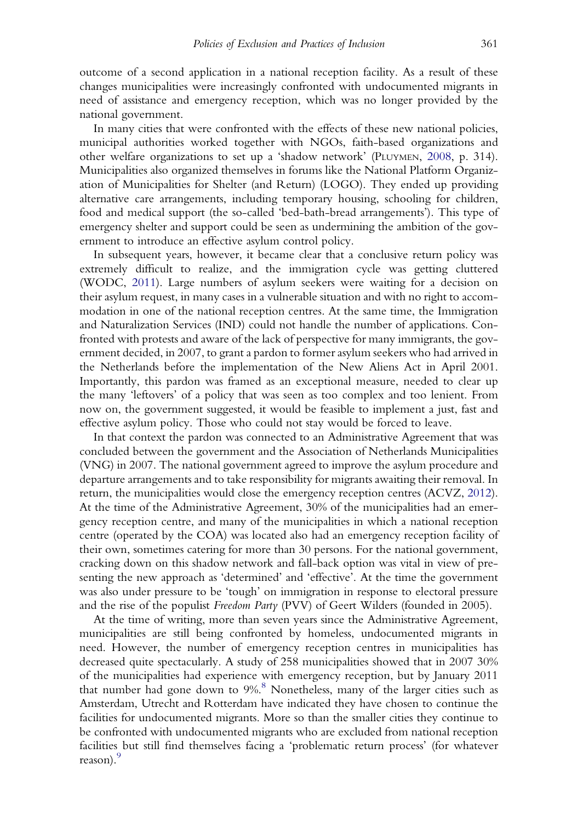outcome of a second application in a national reception facility. As a result of these changes municipalities were increasingly confronted with undocumented migrants in need of assistance and emergency reception, which was no longer provided by the national government.

In many cities that were confronted with the effects of these new national policies, municipal authorities worked together with NGOs, faith-based organizations and other welfare organizations to set up a 'shadow network' (PLUYMEN, [2008,](#page-21-0) p. 314). Municipalities also organized themselves in forums like the National Platform Organization of Municipalities for Shelter (and Return) (LOGO). They ended up providing alternative care arrangements, including temporary housing, schooling for children, food and medical support (the so-called 'bed-bath-bread arrangements'). This type of emergency shelter and support could be seen as undermining the ambition of the government to introduce an effective asylum control policy.

In subsequent years, however, it became clear that a conclusive return policy was extremely difficult to realize, and the immigration cycle was getting cluttered (WODC, [2011](#page-21-0)). Large numbers of asylum seekers were waiting for a decision on their asylum request, in many cases in a vulnerable situation and with no right to accommodation in one of the national reception centres. At the same time, the Immigration and Naturalization Services (IND) could not handle the number of applications. Confronted with protests and aware of the lack of perspective for many immigrants, the government decided, in 2007, to grant a pardon to former asylum seekers who had arrived in the Netherlands before the implementation of the New Aliens Act in April 2001. Importantly, this pardon was framed as an exceptional measure, needed to clear up the many 'leftovers' of a policy that was seen as too complex and too lenient. From now on, the government suggested, it would be feasible to implement a just, fast and effective asylum policy. Those who could not stay would be forced to leave.

In that context the pardon was connected to an Administrative Agreement that was concluded between the government and the Association of Netherlands Municipalities (VNG) in 2007. The national government agreed to improve the asylum procedure and departure arrangements and to take responsibility for migrants awaiting their removal. In return, the municipalities would close the emergency reception centres (ACVZ, [2012](#page-19-0)). At the time of the Administrative Agreement, 30% of the municipalities had an emergency reception centre, and many of the municipalities in which a national reception centre (operated by the COA) was located also had an emergency reception facility of their own, sometimes catering for more than 30 persons. For the national government, cracking down on this shadow network and fall-back option was vital in view of presenting the new approach as 'determined' and 'effective'. At the time the government was also under pressure to be 'tough' on immigration in response to electoral pressure and the rise of the populist Freedom Party (PVV) of Geert Wilders (founded in 2005).

At the time of writing, more than seven years since the Administrative Agreement, municipalities are still being confronted by homeless, undocumented migrants in need. However, the number of emergency reception centres in municipalities has decreased quite spectacularly. A study of 258 municipalities showed that in 2007 30% of the municipalities had experience with emergency reception, but by January 2011 that number had gone down to  $9\%$ <sup>[8](#page-18-0)</sup> Nonetheless, many of the larger cities such as Amsterdam, Utrecht and Rotterdam have indicated they have chosen to continue the facilities for undocumented migrants. More so than the smaller cities they continue to be confronted with undocumented migrants who are excluded from national reception facilities but still find themselves facing a 'problematic return process' (for whatever reason).<sup>[9](#page-18-0)</sup>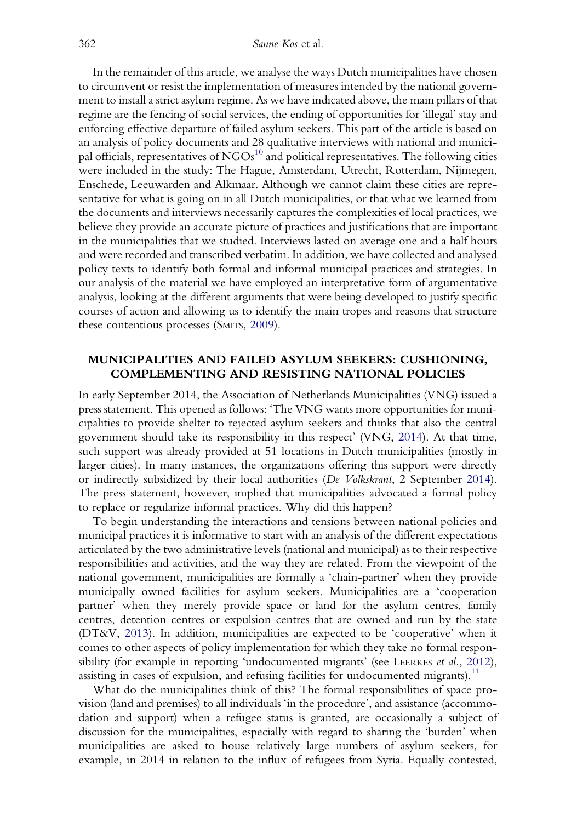In the remainder of this article, we analyse the ways Dutch municipalities have chosen to circumvent or resist the implementation of measures intended by the national government to install a strict asylum regime. As we have indicated above, the main pillars of that regime are the fencing of social services, the ending of opportunities for 'illegal' stay and enforcing effective departure of failed asylum seekers. This part of the article is based on an analysis of policy documents and 28 qualitative interviews with national and municipal officials, representatives of  $NGOs<sup>10</sup>$  and political representatives. The following cities were included in the study: The Hague, Amsterdam, Utrecht, Rotterdam, Nijmegen, Enschede, Leeuwarden and Alkmaar. Although we cannot claim these cities are representative for what is going on in all Dutch municipalities, or that what we learned from the documents and interviews necessarily captures the complexities of local practices, we believe they provide an accurate picture of practices and justifications that are important in the municipalities that we studied. Interviews lasted on average one and a half hours and were recorded and transcribed verbatim. In addition, we have collected and analysed policy texts to identify both formal and informal municipal practices and strategies. In our analysis of the material we have employed an interpretative form of argumentative analysis, looking at the different arguments that were being developed to justify specific courses of action and allowing us to identify the main tropes and reasons that structure these contentious processes (SMITS, [2009](#page-21-0)).

### MUNICIPALITIES AND FAILED ASYLUM SEEKERS: CUSHIONING, COMPLEMENTING AND RESISTING NATIONAL POLICIES

In early September 2014, the Association of Netherlands Municipalities (VNG) issued a press statement. This opened as follows: 'The VNG wants more opportunities for municipalities to provide shelter to rejected asylum seekers and thinks that also the central government should take its responsibility in this respect' (VNG, [2014](#page-21-0)). At that time, such support was already provided at 51 locations in Dutch municipalities (mostly in larger cities). In many instances, the organizations offering this support were directly or indirectly subsidized by their local authorities (De Volkskrant, 2 September [2014\)](#page-19-0). The press statement, however, implied that municipalities advocated a formal policy to replace or regularize informal practices. Why did this happen?

To begin understanding the interactions and tensions between national policies and municipal practices it is informative to start with an analysis of the different expectations articulated by the two administrative levels (national and municipal) as to their respective responsibilities and activities, and the way they are related. From the viewpoint of the national government, municipalities are formally a 'chain-partner' when they provide municipally owned facilities for asylum seekers. Municipalities are a 'cooperation partner' when they merely provide space or land for the asylum centres, family centres, detention centres or expulsion centres that are owned and run by the state (DT&V, [2013](#page-20-0)). In addition, municipalities are expected to be 'cooperative' when it comes to other aspects of policy implementation for which they take no formal responsibility (for example in reporting 'undocumented migrants' (see LEERKES *et al.*, [2012\)](#page-20-0), assisting in cases of expulsion, and refusing facilities for undocumented migrants).<sup>[11](#page-18-0)</sup>

What do the municipalities think of this? The formal responsibilities of space provision (land and premises) to all individuals 'in the procedure', and assistance (accommodation and support) when a refugee status is granted, are occasionally a subject of discussion for the municipalities, especially with regard to sharing the 'burden' when municipalities are asked to house relatively large numbers of asylum seekers, for example, in 2014 in relation to the influx of refugees from Syria. Equally contested,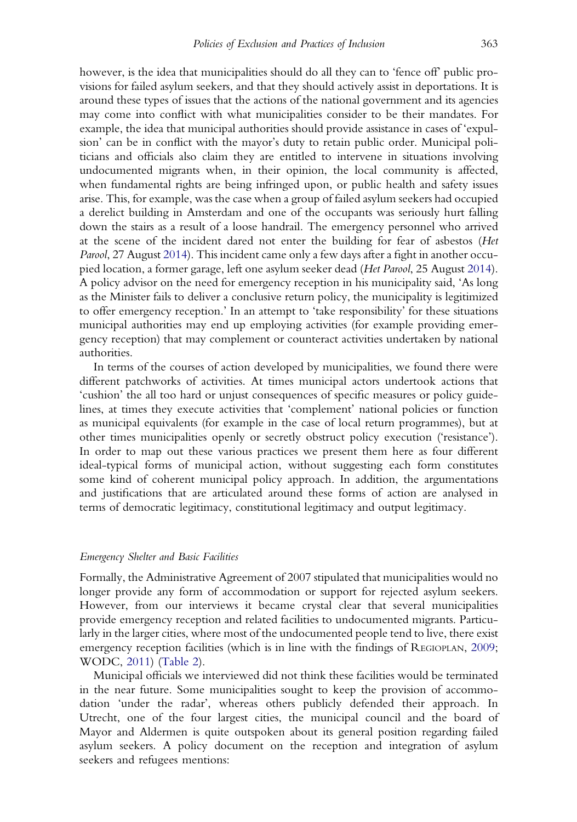however, is the idea that municipalities should do all they can to 'fence off' public provisions for failed asylum seekers, and that they should actively assist in deportations. It is around these types of issues that the actions of the national government and its agencies may come into conflict with what municipalities consider to be their mandates. For example, the idea that municipal authorities should provide assistance in cases of 'expulsion' can be in conflict with the mayor's duty to retain public order. Municipal politicians and officials also claim they are entitled to intervene in situations involving undocumented migrants when, in their opinion, the local community is affected, when fundamental rights are being infringed upon, or public health and safety issues arise. This, for example, was the case when a group of failed asylum seekers had occupied a derelict building in Amsterdam and one of the occupants was seriously hurt falling down the stairs as a result of a loose handrail. The emergency personnel who arrived at the scene of the incident dared not enter the building for fear of asbestos (Het Parool, 27 August [2014](#page-20-0)). This incident came only a few days after a fight in another occupied location, a former garage, left one asylum seeker dead (Het Parool, 25 August [2014](#page-20-0)). A policy advisor on the need for emergency reception in his municipality said, 'As long as the Minister fails to deliver a conclusive return policy, the municipality is legitimized to offer emergency reception.' In an attempt to 'take responsibility' for these situations municipal authorities may end up employing activities (for example providing emergency reception) that may complement or counteract activities undertaken by national authorities.

In terms of the courses of action developed by municipalities, we found there were different patchworks of activities. At times municipal actors undertook actions that 'cushion' the all too hard or unjust consequences of specific measures or policy guidelines, at times they execute activities that 'complement' national policies or function as municipal equivalents (for example in the case of local return programmes), but at other times municipalities openly or secretly obstruct policy execution ('resistance'). In order to map out these various practices we present them here as four different ideal-typical forms of municipal action, without suggesting each form constitutes some kind of coherent municipal policy approach. In addition, the argumentations and justifications that are articulated around these forms of action are analysed in terms of democratic legitimacy, constitutional legitimacy and output legitimacy.

#### Emergency Shelter and Basic Facilities

Formally, the Administrative Agreement of 2007 stipulated that municipalities would no longer provide any form of accommodation or support for rejected asylum seekers. However, from our interviews it became crystal clear that several municipalities provide emergency reception and related facilities to undocumented migrants. Particularly in the larger cities, where most of the undocumented people tend to live, there exist emergency reception facilities (which is in line with the findings of REGIOPLAN, [2009](#page-21-0); WODC, [2011\)](#page-21-0) [\(Table 2\)](#page-11-0).

Municipal officials we interviewed did not think these facilities would be terminated in the near future. Some municipalities sought to keep the provision of accommodation 'under the radar', whereas others publicly defended their approach. In Utrecht, one of the four largest cities, the municipal council and the board of Mayor and Aldermen is quite outspoken about its general position regarding failed asylum seekers. A policy document on the reception and integration of asylum seekers and refugees mentions: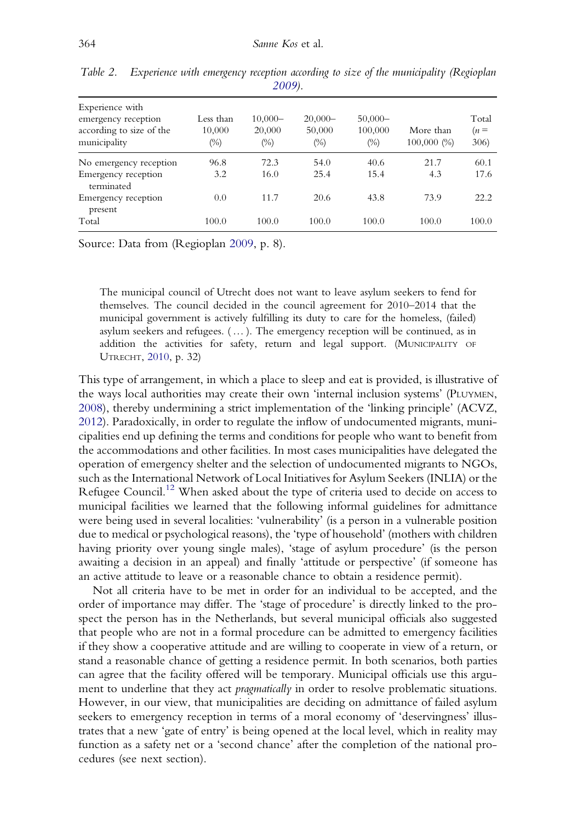| Experience with<br>emergency reception<br>according to size of the<br>municipality | Less than<br>10,000<br>(%) | $10,000-$<br>20,000<br>$(\%)$ | $20,000-$<br>50,000<br>$(\%)$ | $50,000-$<br>100,000<br>$(\%)$ | More than<br>100,000(%) | Total<br>$(n=$<br>306) |
|------------------------------------------------------------------------------------|----------------------------|-------------------------------|-------------------------------|--------------------------------|-------------------------|------------------------|
| No emergency reception                                                             | 96.8                       | 72.3                          | 54.0                          | 40.6                           | 21.7                    | 60.1                   |
| Emergency reception<br>terminated                                                  | 3.2                        | 16.0                          | 25.4                          | 15.4                           | 4.3                     | 17.6                   |
| Emergency reception<br>present                                                     | 0.0                        | 11.7                          | 20.6                          | 43.8                           | 73.9                    | 22.2                   |
| Total                                                                              | 100.0                      | 100.0                         | 100.0                         | 100.0                          | 100.0                   | 100.0                  |

<span id="page-11-0"></span>Table 2. Experience with emergency reception according to size of the municipality (Regioplan [2009\)](#page-21-0).

Source: Data from (Regioplan [2009,](#page-21-0) p. 8).

The municipal council of Utrecht does not want to leave asylum seekers to fend for themselves. The council decided in the council agreement for 2010–2014 that the municipal government is actively fulfilling its duty to care for the homeless, (failed) asylum seekers and refugees.  $(\ldots)$ . The emergency reception will be continued, as in addition the activities for safety, return and legal support. (MUNICIPALITY OF UTRECHT, [2010,](#page-20-0) p. 32)

This type of arrangement, in which a place to sleep and eat is provided, is illustrative of the ways local authorities may create their own 'internal inclusion systems' (PLUYMEN, [2008\)](#page-21-0), thereby undermining a strict implementation of the 'linking principle' (ACVZ, [2012\)](#page-19-0). Paradoxically, in order to regulate the inflow of undocumented migrants, municipalities end up defining the terms and conditions for people who want to benefit from the accommodations and other facilities. In most cases municipalities have delegated the operation of emergency shelter and the selection of undocumented migrants to NGOs, such as the International Network of Local Initiatives for Asylum Seekers (INLIA) or the Refugee Council.<sup>[12](#page-18-0)</sup> When asked about the type of criteria used to decide on access to municipal facilities we learned that the following informal guidelines for admittance were being used in several localities: 'vulnerability' (is a person in a vulnerable position due to medical or psychological reasons), the 'type of household' (mothers with children having priority over young single males), 'stage of asylum procedure' (is the person awaiting a decision in an appeal) and finally 'attitude or perspective' (if someone has an active attitude to leave or a reasonable chance to obtain a residence permit).

Not all criteria have to be met in order for an individual to be accepted, and the order of importance may differ. The 'stage of procedure' is directly linked to the prospect the person has in the Netherlands, but several municipal officials also suggested that people who are not in a formal procedure can be admitted to emergency facilities if they show a cooperative attitude and are willing to cooperate in view of a return, or stand a reasonable chance of getting a residence permit. In both scenarios, both parties can agree that the facility offered will be temporary. Municipal officials use this argument to underline that they act *pragmatically* in order to resolve problematic situations. However, in our view, that municipalities are deciding on admittance of failed asylum seekers to emergency reception in terms of a moral economy of 'deservingness' illustrates that a new 'gate of entry' is being opened at the local level, which in reality may function as a safety net or a 'second chance' after the completion of the national procedures (see next section).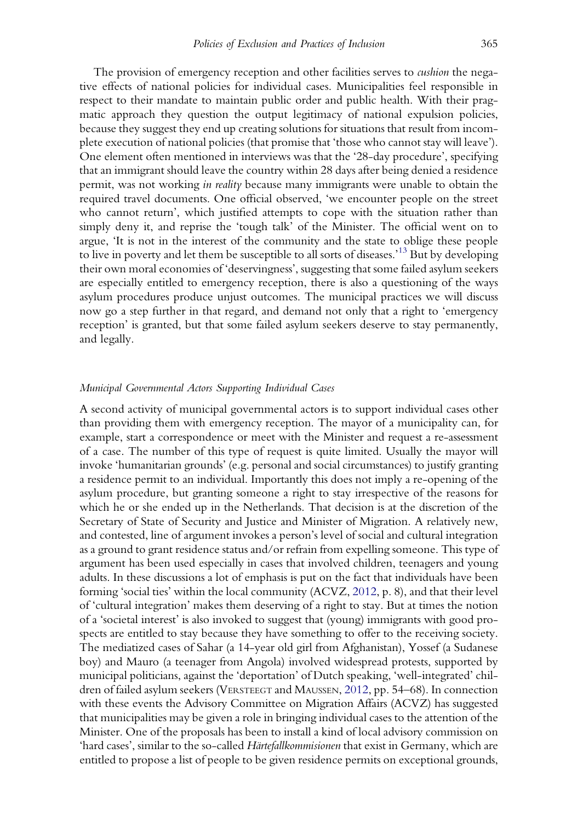The provision of emergency reception and other facilities serves to *cushion* the negative effects of national policies for individual cases. Municipalities feel responsible in respect to their mandate to maintain public order and public health. With their pragmatic approach they question the output legitimacy of national expulsion policies, because they suggest they end up creating solutions for situations that result from incomplete execution of national policies (that promise that 'those who cannot stay will leave'). One element often mentioned in interviews was that the '28-day procedure', specifying that an immigrant should leave the country within 28 days after being denied a residence permit, was not working in reality because many immigrants were unable to obtain the required travel documents. One official observed, 'we encounter people on the street who cannot return', which justified attempts to cope with the situation rather than simply deny it, and reprise the 'tough talk' of the Minister. The official went on to argue, 'It is not in the interest of the community and the state to oblige these people to live in poverty and let them be susceptible to all sorts of diseases.' [13](#page-18-0) But by developing their own moral economies of 'deservingness', suggesting that some failed asylum seekers are especially entitled to emergency reception, there is also a questioning of the ways asylum procedures produce unjust outcomes. The municipal practices we will discuss now go a step further in that regard, and demand not only that a right to 'emergency reception' is granted, but that some failed asylum seekers deserve to stay permanently, and legally.

#### Municipal Governmental Actors Supporting Individual Cases

A second activity of municipal governmental actors is to support individual cases other than providing them with emergency reception. The mayor of a municipality can, for example, start a correspondence or meet with the Minister and request a re-assessment of a case. The number of this type of request is quite limited. Usually the mayor will invoke 'humanitarian grounds' (e.g. personal and social circumstances) to justify granting a residence permit to an individual. Importantly this does not imply a re-opening of the asylum procedure, but granting someone a right to stay irrespective of the reasons for which he or she ended up in the Netherlands. That decision is at the discretion of the Secretary of State of Security and Justice and Minister of Migration. A relatively new, and contested, line of argument invokes a person's level of social and cultural integration as a ground to grant residence status and/or refrain from expelling someone. This type of argument has been used especially in cases that involved children, teenagers and young adults. In these discussions a lot of emphasis is put on the fact that individuals have been forming 'social ties' within the local community (ACVZ, [2012](#page-19-0), p. 8), and that their level of 'cultural integration' makes them deserving of a right to stay. But at times the notion of a 'societal interest' is also invoked to suggest that (young) immigrants with good prospects are entitled to stay because they have something to offer to the receiving society. The mediatized cases of Sahar (a 14-year old girl from Afghanistan), Yossef (a Sudanese boy) and Mauro (a teenager from Angola) involved widespread protests, supported by municipal politicians, against the 'deportation' of Dutch speaking, 'well-integrated' children of failed asylum seekers (VERSTEEGT and MAUSSEN, [2012](#page-21-0), pp. 54–68). In connection with these events the Advisory Committee on Migration Affairs (ACVZ) has suggested that municipalities may be given a role in bringing individual cases to the attention of the Minister. One of the proposals has been to install a kind of local advisory commission on 'hard cases', similar to the so-called Härtefallkommisionen that exist in Germany, which are entitled to propose a list of people to be given residence permits on exceptional grounds,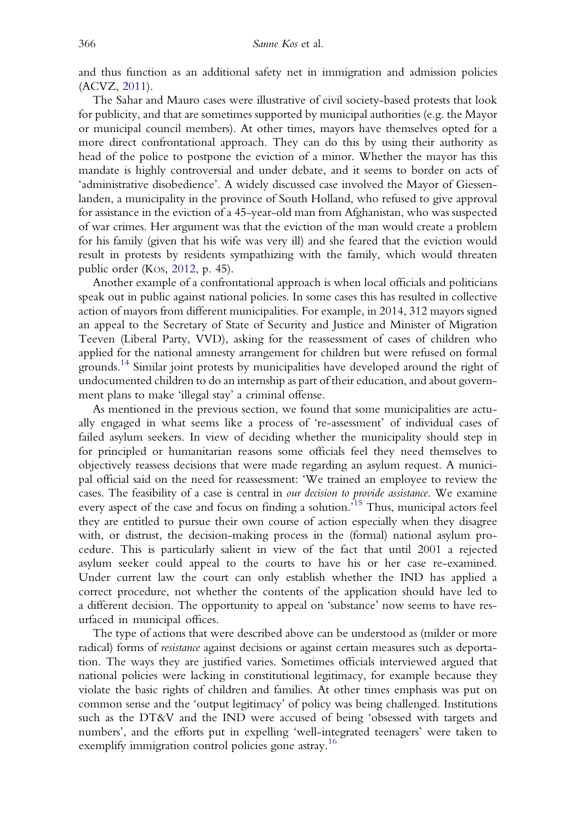and thus function as an additional safety net in immigration and admission policies (ACVZ, [2011](#page-19-0)).

The Sahar and Mauro cases were illustrative of civil society-based protests that look for publicity, and that are sometimes supported by municipal authorities (e.g. the Mayor or municipal council members). At other times, mayors have themselves opted for a more direct confrontational approach. They can do this by using their authority as head of the police to postpone the eviction of a minor. Whether the mayor has this mandate is highly controversial and under debate, and it seems to border on acts of 'administrative disobedience'. A widely discussed case involved the Mayor of Giessenlanden, a municipality in the province of South Holland, who refused to give approval for assistance in the eviction of a 45-year-old man from Afghanistan, who was suspected of war crimes. Her argument was that the eviction of the man would create a problem for his family (given that his wife was very ill) and she feared that the eviction would result in protests by residents sympathizing with the family, which would threaten public order (KOS, [2012](#page-20-0), p. 45).

Another example of a confrontational approach is when local officials and politicians speak out in public against national policies. In some cases this has resulted in collective action of mayors from different municipalities. For example, in 2014, 312 mayors signed an appeal to the Secretary of State of Security and Justice and Minister of Migration Teeven (Liberal Party, VVD), asking for the reassessment of cases of children who applied for the national amnesty arrangement for children but were refused on formal grounds.<sup>[14](#page-18-0)</sup> Similar joint protests by municipalities have developed around the right of undocumented children to do an internship as part of their education, and about government plans to make 'illegal stay' a criminal offense.

As mentioned in the previous section, we found that some municipalities are actually engaged in what seems like a process of 're-assessment' of individual cases of failed asylum seekers. In view of deciding whether the municipality should step in for principled or humanitarian reasons some officials feel they need themselves to objectively reassess decisions that were made regarding an asylum request. A municipal official said on the need for reassessment: 'We trained an employee to review the cases. The feasibility of a case is central in our decision to provide assistance. We examine every aspect of the case and focus on finding a solution.<sup>3[15](#page-18-0)</sup> Thus, municipal actors feel they are entitled to pursue their own course of action especially when they disagree with, or distrust, the decision-making process in the (formal) national asylum procedure. This is particularly salient in view of the fact that until 2001 a rejected asylum seeker could appeal to the courts to have his or her case re-examined. Under current law the court can only establish whether the IND has applied a correct procedure, not whether the contents of the application should have led to a different decision. The opportunity to appeal on 'substance' now seems to have resurfaced in municipal offices.

The type of actions that were described above can be understood as (milder or more radical) forms of resistance against decisions or against certain measures such as deportation. The ways they are justified varies. Sometimes officials interviewed argued that national policies were lacking in constitutional legitimacy, for example because they violate the basic rights of children and families. At other times emphasis was put on common sense and the 'output legitimacy' of policy was being challenged. Institutions such as the DT&V and the IND were accused of being 'obsessed with targets and numbers', and the efforts put in expelling 'well-integrated teenagers' were taken to exemplify immigration control policies gone astray.<sup>[16](#page-18-0)</sup>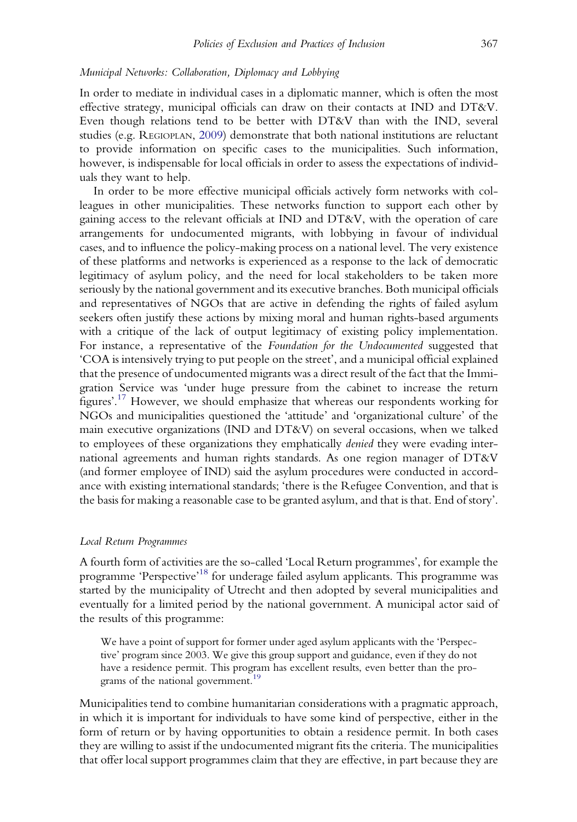#### Municipal Networks: Collaboration, Diplomacy and Lobbying

In order to mediate in individual cases in a diplomatic manner, which is often the most effective strategy, municipal officials can draw on their contacts at IND and DT&V. Even though relations tend to be better with DT&V than with the IND, several studies (e.g. REGIOPLAN, [2009\)](#page-21-0) demonstrate that both national institutions are reluctant to provide information on specific cases to the municipalities. Such information, however, is indispensable for local officials in order to assess the expectations of individuals they want to help.

In order to be more effective municipal officials actively form networks with colleagues in other municipalities. These networks function to support each other by gaining access to the relevant officials at IND and DT&V, with the operation of care arrangements for undocumented migrants, with lobbying in favour of individual cases, and to influence the policy-making process on a national level. The very existence of these platforms and networks is experienced as a response to the lack of democratic legitimacy of asylum policy, and the need for local stakeholders to be taken more seriously by the national government and its executive branches. Both municipal officials and representatives of NGOs that are active in defending the rights of failed asylum seekers often justify these actions by mixing moral and human rights-based arguments with a critique of the lack of output legitimacy of existing policy implementation. For instance, a representative of the Foundation for the Undocumented suggested that 'COA is intensively trying to put people on the street', and a municipal official explained that the presence of undocumented migrants was a direct result of the fact that the Immigration Service was 'under huge pressure from the cabinet to increase the return figures'. [17](#page-18-0) However, we should emphasize that whereas our respondents working for NGOs and municipalities questioned the 'attitude' and 'organizational culture' of the main executive organizations (IND and DT&V) on several occasions, when we talked to employees of these organizations they emphatically denied they were evading international agreements and human rights standards. As one region manager of DT&V (and former employee of IND) said the asylum procedures were conducted in accordance with existing international standards; 'there is the Refugee Convention, and that is the basis for making a reasonable case to be granted asylum, and that is that. End of story'.

#### Local Return Programmes

A fourth form of activities are the so-called 'Local Return programmes', for example the programme 'Perspective'<sup>[18](#page-18-0)</sup> for underage failed asylum applicants. This programme was started by the municipality of Utrecht and then adopted by several municipalities and eventually for a limited period by the national government. A municipal actor said of the results of this programme:

We have a point of support for former under aged asylum applicants with the 'Perspective' program since 2003. We give this group support and guidance, even if they do not have a residence permit. This program has excellent results, even better than the pro-grams of the national government.<sup>[19](#page-18-0)</sup>

Municipalities tend to combine humanitarian considerations with a pragmatic approach, in which it is important for individuals to have some kind of perspective, either in the form of return or by having opportunities to obtain a residence permit. In both cases they are willing to assist if the undocumented migrant fits the criteria. The municipalities that offer local support programmes claim that they are effective, in part because they are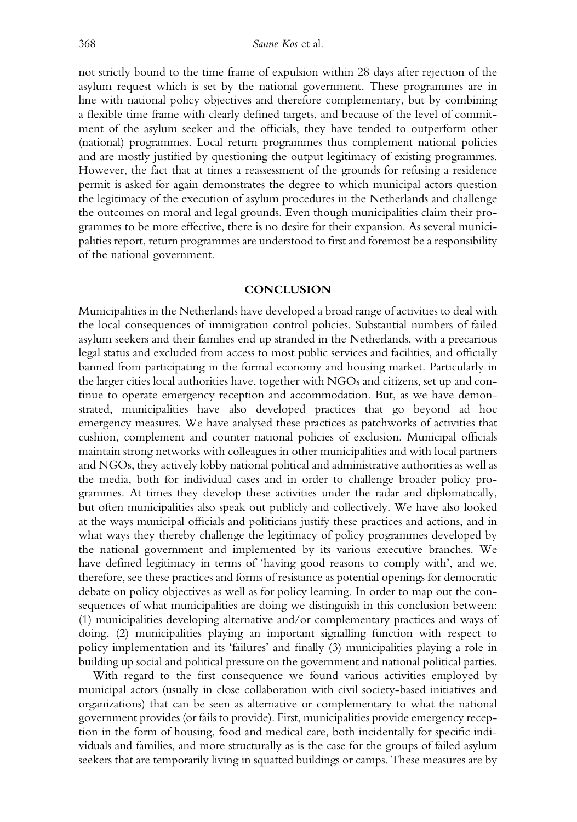not strictly bound to the time frame of expulsion within 28 days after rejection of the asylum request which is set by the national government. These programmes are in line with national policy objectives and therefore complementary, but by combining a flexible time frame with clearly defined targets, and because of the level of commitment of the asylum seeker and the officials, they have tended to outperform other (national) programmes. Local return programmes thus complement national policies and are mostly justified by questioning the output legitimacy of existing programmes. However, the fact that at times a reassessment of the grounds for refusing a residence permit is asked for again demonstrates the degree to which municipal actors question the legitimacy of the execution of asylum procedures in the Netherlands and challenge the outcomes on moral and legal grounds. Even though municipalities claim their programmes to be more effective, there is no desire for their expansion. As several municipalities report, return programmes are understood to first and foremost be a responsibility of the national government.

#### **CONCLUSION**

Municipalities in the Netherlands have developed a broad range of activities to deal with the local consequences of immigration control policies. Substantial numbers of failed asylum seekers and their families end up stranded in the Netherlands, with a precarious legal status and excluded from access to most public services and facilities, and officially banned from participating in the formal economy and housing market. Particularly in the larger cities local authorities have, together with NGOs and citizens, set up and continue to operate emergency reception and accommodation. But, as we have demonstrated, municipalities have also developed practices that go beyond ad hoc emergency measures. We have analysed these practices as patchworks of activities that cushion, complement and counter national policies of exclusion. Municipal officials maintain strong networks with colleagues in other municipalities and with local partners and NGOs, they actively lobby national political and administrative authorities as well as the media, both for individual cases and in order to challenge broader policy programmes. At times they develop these activities under the radar and diplomatically, but often municipalities also speak out publicly and collectively. We have also looked at the ways municipal officials and politicians justify these practices and actions, and in what ways they thereby challenge the legitimacy of policy programmes developed by the national government and implemented by its various executive branches. We have defined legitimacy in terms of 'having good reasons to comply with', and we, therefore, see these practices and forms of resistance as potential openings for democratic debate on policy objectives as well as for policy learning. In order to map out the consequences of what municipalities are doing we distinguish in this conclusion between: (1) municipalities developing alternative and/or complementary practices and ways of doing, (2) municipalities playing an important signalling function with respect to policy implementation and its 'failures' and finally (3) municipalities playing a role in building up social and political pressure on the government and national political parties.

With regard to the first consequence we found various activities employed by municipal actors (usually in close collaboration with civil society-based initiatives and organizations) that can be seen as alternative or complementary to what the national government provides (or fails to provide). First, municipalities provide emergency reception in the form of housing, food and medical care, both incidentally for specific individuals and families, and more structurally as is the case for the groups of failed asylum seekers that are temporarily living in squatted buildings or camps. These measures are by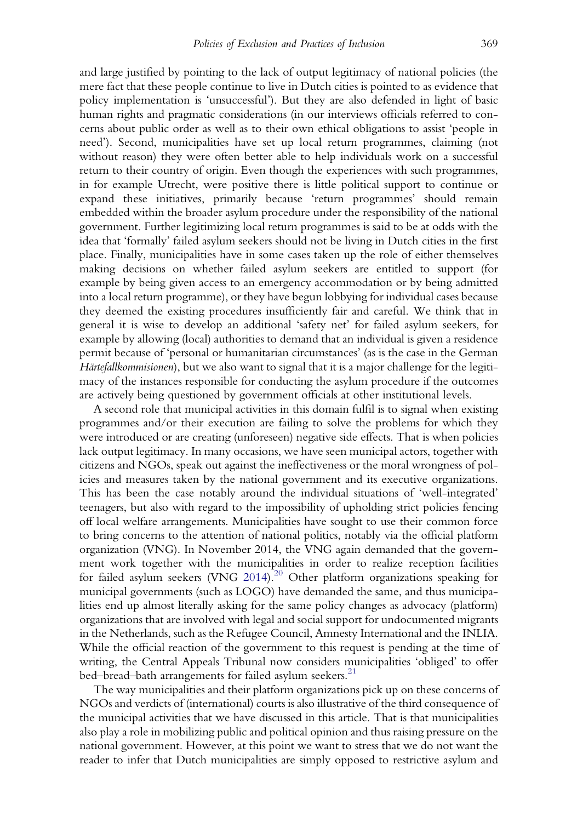and large justified by pointing to the lack of output legitimacy of national policies (the mere fact that these people continue to live in Dutch cities is pointed to as evidence that policy implementation is 'unsuccessful'). But they are also defended in light of basic human rights and pragmatic considerations (in our interviews officials referred to concerns about public order as well as to their own ethical obligations to assist 'people in need'). Second, municipalities have set up local return programmes, claiming (not without reason) they were often better able to help individuals work on a successful return to their country of origin. Even though the experiences with such programmes, in for example Utrecht, were positive there is little political support to continue or expand these initiatives, primarily because 'return programmes' should remain embedded within the broader asylum procedure under the responsibility of the national government. Further legitimizing local return programmes is said to be at odds with the idea that 'formally' failed asylum seekers should not be living in Dutch cities in the first place. Finally, municipalities have in some cases taken up the role of either themselves making decisions on whether failed asylum seekers are entitled to support (for example by being given access to an emergency accommodation or by being admitted into a local return programme), or they have begun lobbying for individual cases because they deemed the existing procedures insufficiently fair and careful. We think that in general it is wise to develop an additional 'safety net' for failed asylum seekers, for example by allowing (local) authorities to demand that an individual is given a residence permit because of 'personal or humanitarian circumstances' (as is the case in the German Härtefallkommisionen), but we also want to signal that it is a major challenge for the legitimacy of the instances responsible for conducting the asylum procedure if the outcomes are actively being questioned by government officials at other institutional levels.

A second role that municipal activities in this domain fulfil is to signal when existing programmes and/or their execution are failing to solve the problems for which they were introduced or are creating (unforeseen) negative side effects. That is when policies lack output legitimacy. In many occasions, we have seen municipal actors, together with citizens and NGOs, speak out against the ineffectiveness or the moral wrongness of policies and measures taken by the national government and its executive organizations. This has been the case notably around the individual situations of 'well-integrated' teenagers, but also with regard to the impossibility of upholding strict policies fencing off local welfare arrangements. Municipalities have sought to use their common force to bring concerns to the attention of national politics, notably via the official platform organization (VNG). In November 2014, the VNG again demanded that the government work together with the municipalities in order to realize reception facilities for failed asylum seekers (VNG [2014\)](#page-21-0).<sup>[20](#page-19-0)</sup> Other platform organizations speaking for municipal governments (such as LOGO) have demanded the same, and thus municipalities end up almost literally asking for the same policy changes as advocacy (platform) organizations that are involved with legal and social support for undocumented migrants in the Netherlands, such as the Refugee Council, Amnesty International and the INLIA. While the official reaction of the government to this request is pending at the time of writing, the Central Appeals Tribunal now considers municipalities 'obliged' to offer bed–bread–bath arrangements for failed asylum seekers.<sup>21</sup>

The way municipalities and their platform organizations pick up on these concerns of NGOs and verdicts of (international) courts is also illustrative of the third consequence of the municipal activities that we have discussed in this article. That is that municipalities also play a role in mobilizing public and political opinion and thus raising pressure on the national government. However, at this point we want to stress that we do not want the reader to infer that Dutch municipalities are simply opposed to restrictive asylum and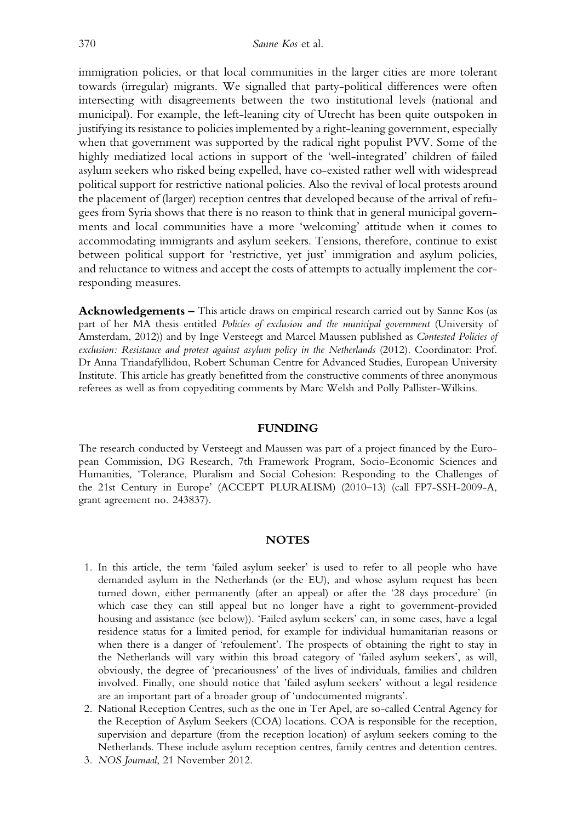<span id="page-17-0"></span>immigration policies, or that local communities in the larger cities are more tolerant towards (irregular) migrants. We signalled that party-political differences were often intersecting with disagreements between the two institutional levels (national and municipal). For example, the left-leaning city of Utrecht has been quite outspoken in justifying its resistance to policies implemented by a right-leaning government, especially when that government was supported by the radical right populist PVV. Some of the highly mediatized local actions in support of the 'well-integrated' children of failed asylum seekers who risked being expelled, have co-existed rather well with widespread political support for restrictive national policies. Also the revival of local protests around the placement of (larger) reception centres that developed because of the arrival of refugees from Syria shows that there is no reason to think that in general municipal governments and local communities have a more 'welcoming' attitude when it comes to accommodating immigrants and asylum seekers. Tensions, therefore, continue to exist between political support for 'restrictive, yet just' immigration and asylum policies, and reluctance to witness and accept the costs of attempts to actually implement the corresponding measures.

Acknowledgements – This article draws on empirical research carried out by Sanne Kos (as part of her MA thesis entitled *Policies of exclusion and the municipal government* (University of Amsterdam, 2012)) and by Inge Versteegt and Marcel Maussen published as Contested Policies of exclusion: Resistance and protest against asylum policy in the Netherlands (2012). Coordinator: Prof. Dr Anna Triandafyllidou, Robert Schuman Centre for Advanced Studies, European University Institute. This article has greatly benefitted from the constructive comments of three anonymous referees as well as from copyediting comments by Marc Welsh and Polly Pallister-Wilkins.

#### FUNDING

The research conducted by Versteegt and Maussen was part of a project financed by the European Commission, DG Research, 7th Framework Program, Socio-Economic Sciences and Humanities, 'Tolerance, Pluralism and Social Cohesion: Responding to the Challenges of the 21st Century in Europe' (ACCEPT PLURALISM) (2010–13) (call FP7-SSH-2009-A, grant agreement no. 243837).

#### **NOTES**

- 1. In this article, the term 'failed asylum seeker' is used to refer to all people who have demanded asylum in the Netherlands (or the EU), and whose asylum request has been turned down, either permanently (after an appeal) or after the '28 days procedure' (in which case they can still appeal but no longer have a right to government-provided housing and assistance (see below)). 'Failed asylum seekers' can, in some cases, have a legal residence status for a limited period, for example for individual humanitarian reasons or when there is a danger of 'refoulement'. The prospects of obtaining the right to stay in the Netherlands will vary within this broad category of 'failed asylum seekers', as will, obviously, the degree of 'precariousness' of the lives of individuals, families and children involved. Finally, one should notice that 'failed asylum seekers' without a legal residence are an important part of a broader group of 'undocumented migrants'.
- 2. National Reception Centres, such as the one in Ter Apel, are so-called Central Agency for the Reception of Asylum Seekers (COA) locations. COA is responsible for the reception, supervision and departure (from the reception location) of asylum seekers coming to the Netherlands. These include asylum reception centres, family centres and detention centres.
- 3. NOS Journaal, 21 November 2012.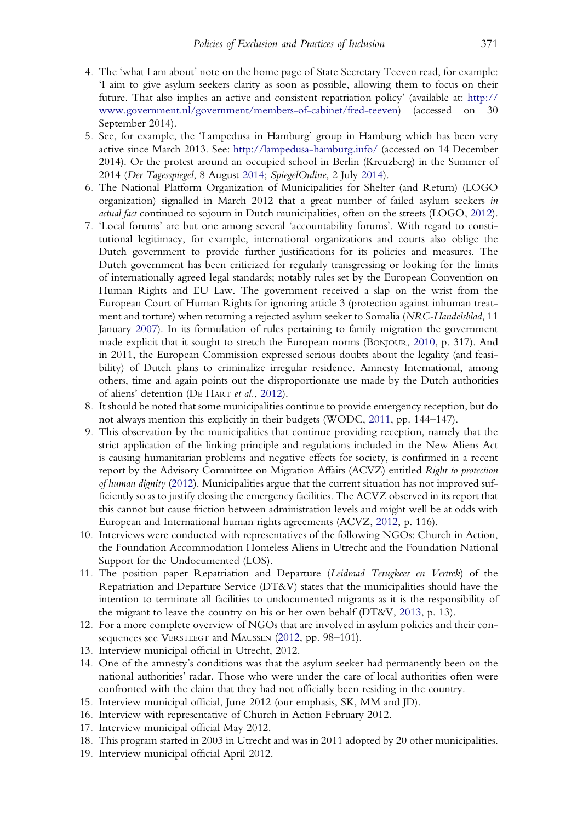- <span id="page-18-0"></span>4. The 'what I am about' note on the home page of State Secretary Teeven read, for example: 'I aim to give asylum seekers clarity as soon as possible, allowing them to focus on their future. That also implies an active and consistent repatriation policy' (available at: [http://](http://www.government.nl/government/members-of-cabinet/fred-teeven) [www.government.nl/government/members-of-cabinet/fred-teeven](http://www.government.nl/government/members-of-cabinet/fred-teeven)) (accessed on 30 September 2014).
- 5. See, for example, the 'Lampedusa in Hamburg' group in Hamburg which has been very active since March 2013. See: <http://lampedusa-hamburg.info/> (accessed on 14 December 2014). Or the protest around an occupied school in Berlin (Kreuzberg) in the Summer of 2014 (Der Tagesspiegel, 8 August [2014](#page-19-0); SpiegelOnline, 2 July [2014\)](#page-21-0).
- 6. The National Platform Organization of Municipalities for Shelter (and Return) (LOGO organization) signalled in March 2012 that a great number of failed asylum seekers in actual fact continued to sojourn in Dutch municipalities, often on the streets (LOGO, [2012\)](#page-20-0).
- 7. 'Local forums' are but one among several 'accountability forums'. With regard to constitutional legitimacy, for example, international organizations and courts also oblige the Dutch government to provide further justifications for its policies and measures. The Dutch government has been criticized for regularly transgressing or looking for the limits of internationally agreed legal standards; notably rules set by the European Convention on Human Rights and EU Law. The government received a slap on the wrist from the European Court of Human Rights for ignoring article 3 (protection against inhuman treatment and torture) when returning a rejected asylum seeker to Somalia (NRC-Handelsblad, 11 January [2007\)](#page-21-0). In its formulation of rules pertaining to family migration the government made explicit that it sought to stretch the European norms (BONJOUR, [2010](#page-19-0), p. 317). And in 2011, the European Commission expressed serious doubts about the legality (and feasibility) of Dutch plans to criminalize irregular residence. Amnesty International, among others, time and again points out the disproportionate use made by the Dutch authorities of aliens' detention (DE HART et al., [2012](#page-19-0)).
- 8. It should be noted that some municipalities continue to provide emergency reception, but do not always mention this explicitly in their budgets (WODC, [2011](#page-21-0), pp. 144–147).
- 9. This observation by the municipalities that continue providing reception, namely that the strict application of the linking principle and regulations included in the New Aliens Act is causing humanitarian problems and negative effects for society, is confirmed in a recent report by the Advisory Committee on Migration Affairs (ACVZ) entitled Right to protection of human dignity ([2012](#page-19-0)). Municipalities argue that the current situation has not improved sufficiently so as to justify closing the emergency facilities. The ACVZ observed in its report that this cannot but cause friction between administration levels and might well be at odds with European and International human rights agreements (ACVZ, [2012](#page-19-0), p. 116).
- 10. Interviews were conducted with representatives of the following NGOs: Church in Action, the Foundation Accommodation Homeless Aliens in Utrecht and the Foundation National Support for the Undocumented (LOS).
- 11. The position paper Repatriation and Departure (Leidraad Terugkeer en Vertrek) of the Repatriation and Departure Service (DT&V) states that the municipalities should have the intention to terminate all facilities to undocumented migrants as it is the responsibility of the migrant to leave the country on his or her own behalf (DT&V, [2013](#page-20-0), p. 13).
- 12. For a more complete overview of NGOs that are involved in asylum policies and their con-sequences see VERSTEEGT and MAUSSEN ([2012](#page-21-0), pp. 98-101).
- 13. Interview municipal official in Utrecht, 2012.
- 14. One of the amnesty's conditions was that the asylum seeker had permanently been on the national authorities' radar. Those who were under the care of local authorities often were confronted with the claim that they had not officially been residing in the country.
- 15. Interview municipal official, June 2012 (our emphasis, SK, MM and JD).
- 16. Interview with representative of Church in Action February 2012.
- 17. Interview municipal official May 2012.
- 18. This program started in 2003 in Utrecht and was in 2011 adopted by 20 other municipalities.
- 19. Interview municipal official April 2012.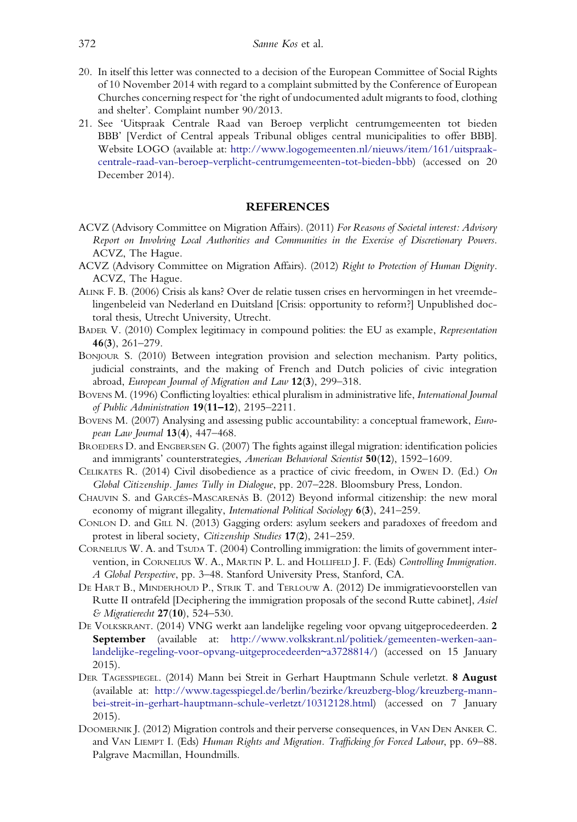- <span id="page-19-0"></span>20. In itself this letter was connected to a decision of the European Committee of Social Rights of 10 November 2014 with regard to a complaint submitted by the Conference of European Churches concerning respect for 'the right of undocumented adult migrants to food, clothing and shelter'. Complaint number 90/2013.
- 21. See 'Uitspraak Centrale Raad van Beroep verplicht centrumgemeenten tot bieden BBB' [Verdict of Central appeals Tribunal obliges central municipalities to offer BBB]. Website LOGO (available at: [http://www.logogemeenten.nl/nieuws/item/161/uitspraak](http://www.logogemeenten.nl/nieuws/item/161/uitspraak-centrale-raad-van-beroep-verplicht-centrumgemeenten-tot-bieden-bbb)[centrale-raad-van-beroep-verplicht-centrumgemeenten-tot-bieden-bbb\)](http://www.logogemeenten.nl/nieuws/item/161/uitspraak-centrale-raad-van-beroep-verplicht-centrumgemeenten-tot-bieden-bbb) (accessed on 20 December 2014).

#### **REFERENCES**

- ACVZ (Advisory Committee on Migration Affairs). (2011) For Reasons of Societal interest: Advisory Report on Involving Local Authorities and Communities in the Exercise of Discretionary Powers. ACVZ, The Hague.
- ACVZ (Advisory Committee on Migration Affairs). (2012) Right to Protection of Human Dignity. ACVZ, The Hague.
- ALINK F. B. (2006) Crisis als kans? Over de relatie tussen crises en hervormingen in het vreemdelingenbeleid van Nederland en Duitsland [Crisis: opportunity to reform?] Unpublished doctoral thesis, Utrecht University, Utrecht.
- BADER V. (2010) Complex legitimacy in compound polities: the EU as example, Representation 46(3), 261–279.
- BONJOUR S. (2010) Between integration provision and selection mechanism. Party politics, judicial constraints, and the making of French and Dutch policies of civic integration abroad, European Journal of Migration and Law 12(3), 299–318.
- BOVENS M. (1996) Conflicting loyalties: ethical pluralism in administrative life, International Journal of Public Administration 19(11–12), 2195–2211.
- BOVENS M. (2007) Analysing and assessing public accountability: a conceptual framework, European Law Journal 13(4), 447–468.
- BROEDERS D. and ENGBERSEN G. (2007) The fights against illegal migration: identification policies and immigrants' counterstrategies, American Behavioral Scientist 50(12), 1592–1609.
- CELIKATES R. (2014) Civil disobedience as a practice of civic freedom, in OWEN D. (Ed.) On Global Citizenship. James Tully in Dialogue, pp. 207–228. Bloomsbury Press, London.
- CHAUVIN S. and GARCÉS-MASCARENÃS B. (2012) Beyond informal citizenship: the new moral economy of migrant illegality, International Political Sociology 6(3), 241-259.
- CONLON D. and GILL N. (2013) Gagging orders: asylum seekers and paradoxes of freedom and protest in liberal society, Citizenship Studies 17(2), 241–259.
- CORNELIUS W. A. and TSUDA T. (2004) Controlling immigration: the limits of government intervention, in CORNELIUS W. A., MARTIN P. L. and HOLLIFELD J. F. (Eds) Controlling Immigration. A Global Perspective, pp. 3–48. Stanford University Press, Stanford, CA.
- DE HART B., MINDERHOUD P., STRIK T. and TERLOUW A. (2012) De immigratievoorstellen van Rutte II ontrafeld [Deciphering the immigration proposals of the second Rutte cabinet], Asiel & Migratierecht 27(10), 524–530.
- DE VOLKSKRANT. (2014) VNG werkt aan landelijke regeling voor opvang uitgeprocedeerden. 2 September (available at: [http://www.volkskrant.nl/politiek/gemeenten-werken-aan](http://www.volkskrant.nl/politiek/gemeenten-werken-aan-landelijke-regeling-voor-opvang-uitgeprocedeerden~a3728814/)[landelijke-regeling-voor-opvang-uitgeprocedeerden~a3728814/](http://www.volkskrant.nl/politiek/gemeenten-werken-aan-landelijke-regeling-voor-opvang-uitgeprocedeerden~a3728814/)) (accessed on 15 January 2015).
- DER TAGESSPIEGEL. (2014) Mann bei Streit in Gerhart Hauptmann Schule verletzt. 8 August (available at: [http://www.tagesspiegel.de/berlin/bezirke/kreuzberg-blog/kreuzberg-mann](http://www.tagesspiegel.de/berlin/bezirke/kreuzberg-blog/kreuzberg-mann-bei-streit-in-gerhart-hauptmann-schule-verletzt/10312128.html)[bei-streit-in-gerhart-hauptmann-schule-verletzt/10312128.html](http://www.tagesspiegel.de/berlin/bezirke/kreuzberg-blog/kreuzberg-mann-bei-streit-in-gerhart-hauptmann-schule-verletzt/10312128.html)) (accessed on 7 January 2015).
- DOOMERNIK J. (2012) Migration controls and their perverse consequences, in VAN DEN ANKER C. and VAN LIEMPT I. (Eds) Human Rights and Migration. Trafficking for Forced Labour, pp. 69–88. Palgrave Macmillan, Houndmills.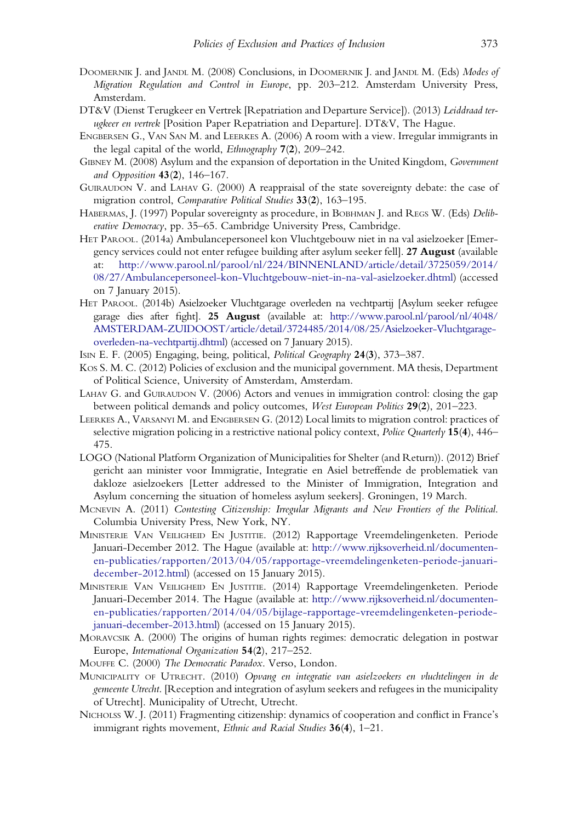- <span id="page-20-0"></span>DOOMERNIK J. and JANDL M. (2008) Conclusions, in DOOMERNIK J. and JANDL M. (Eds) Modes of Migration Regulation and Control in Europe, pp. 203–212. Amsterdam University Press, Amsterdam.
- DT&V (Dienst Terugkeer en Vertrek [Repatriation and Departure Service]). (2013) Leiddraad terugkeer en vertrek [Position Paper Repatriation and Departure]. DT&V, The Hague.
- ENGBERSEN G., VAN SAN M. and LEERKES A. (2006) A room with a view. Irregular immigrants in the legal capital of the world, Ethnography 7(2), 209–242.
- GIBNEY M. (2008) Asylum and the expansion of deportation in the United Kingdom, Government and Opposition 43(2), 146–167.
- GUIRAUDON V. and LAHAV G. (2000) A reappraisal of the state sovereignty debate: the case of migration control, Comparative Political Studies 33(2), 163–195.
- HABERMAS, J. (1997) Popular sovereignty as procedure, in BOBHMAN J. and REGS W. (Eds) Deliberative Democracy, pp. 35–65. Cambridge University Press, Cambridge.
- HET PAROOL. (2014a) Ambulancepersoneel kon Vluchtgebouw niet in na val asielzoeker [Emergency services could not enter refugee building after asylum seeker fell]. 27 August (available at: [http://www.parool.nl/parool/nl/224/BINNENLAND/article/detail/3725059/2014/](http://www.parool.nl/parool/nl/224/BINNENLAND/article/detail/3725059/2014/08/27/Ambulancepersoneel-kon-Vluchtgebouw-niet-in-na-val-asielzoeker.dhtml) [08/27/Ambulancepersoneel-kon-Vluchtgebouw-niet-in-na-val-asielzoeker.dhtml\)](http://www.parool.nl/parool/nl/224/BINNENLAND/article/detail/3725059/2014/08/27/Ambulancepersoneel-kon-Vluchtgebouw-niet-in-na-val-asielzoeker.dhtml) (accessed on 7 January 2015).
- HET PAROOL. (2014b) Asielzoeker Vluchtgarage overleden na vechtpartij [Asylum seeker refugee garage dies after fight]. 25 August (available at: [http://www.parool.nl/parool/nl/4048/](http://www.parool.nl/parool/nl/4048/AMSTERDAM-ZUIDOOST/article/detail/3724485/2014/08/25/Asielzoeker-Vluchtgarage-overleden-na-vechtpartij.dhtml) [AMSTERDAM-ZUIDOOST/article/detail/3724485/2014/08/25/Asielzoeker-Vluchtgarage](http://www.parool.nl/parool/nl/4048/AMSTERDAM-ZUIDOOST/article/detail/3724485/2014/08/25/Asielzoeker-Vluchtgarage-overleden-na-vechtpartij.dhtml)[overleden-na-vechtpartij.dhtml](http://www.parool.nl/parool/nl/4048/AMSTERDAM-ZUIDOOST/article/detail/3724485/2014/08/25/Asielzoeker-Vluchtgarage-overleden-na-vechtpartij.dhtml)) (accessed on 7 January 2015).
- ISIN E. F. (2005) Engaging, being, political, Political Geography 24(3), 373–387.
- KOS S. M. C. (2012) Policies of exclusion and the municipal government. MA thesis, Department of Political Science, University of Amsterdam, Amsterdam.
- LAHAV G. and GUIRAUDON V. (2006) Actors and venues in immigration control: closing the gap between political demands and policy outcomes, West European Politics 29(2), 201–223.
- LEERKES A., VARSANYI M. and ENGBERSEN G. (2012) Local limits to migration control: practices of selective migration policing in a restrictive national policy context, *Police Quarterly* 15(4), 446– 475.
- LOGO (National Platform Organization of Municipalities for Shelter (and Return)). (2012) Brief gericht aan minister voor Immigratie, Integratie en Asiel betreffende de problematiek van dakloze asielzoekers [Letter addressed to the Minister of Immigration, Integration and Asylum concerning the situation of homeless asylum seekers]. Groningen, 19 March.
- MCNEVIN A. (2011) Contesting Citizenship: Irregular Migrants and New Frontiers of the Political. Columbia University Press, New York, NY.
- MINISTERIE VAN VEILIGHEID EN JUSTITIE. (2012) Rapportage Vreemdelingenketen. Periode Januari-December 2012. The Hague (available at: [http://www.rijksoverheid.nl/documenten](http://www.rijksoverheid.nl/documenten-en-publicaties/rapporten/2013/04/05/rapportage-vreemdelingenketen-periode-januari-december-2012.html)[en-publicaties/rapporten/2013/04/05/rapportage-vreemdelingenketen-periode-januari](http://www.rijksoverheid.nl/documenten-en-publicaties/rapporten/2013/04/05/rapportage-vreemdelingenketen-periode-januari-december-2012.html)[december-2012.html\)](http://www.rijksoverheid.nl/documenten-en-publicaties/rapporten/2013/04/05/rapportage-vreemdelingenketen-periode-januari-december-2012.html) (accessed on 15 January 2015).
- MINISTERIE VAN VEILIGHEID EN JUSTITIE. (2014) Rapportage Vreemdelingenketen. Periode Januari-December 2014. The Hague (available at: [http://www.rijksoverheid.nl/documenten](http://www.rijksoverheid.nl/documenten-en-publicaties/rapporten/2014/04/05/bijlage-rapportage-vreemdelingenketen-periode-januari-december-2013.html)[en-publicaties/rapporten/2014/04/05/bijlage-rapportage-vreemdelingenketen-periode](http://www.rijksoverheid.nl/documenten-en-publicaties/rapporten/2014/04/05/bijlage-rapportage-vreemdelingenketen-periode-januari-december-2013.html)[januari-december-2013.html](http://www.rijksoverheid.nl/documenten-en-publicaties/rapporten/2014/04/05/bijlage-rapportage-vreemdelingenketen-periode-januari-december-2013.html)) (accessed on 15 January 2015).
- MORAVCSIK A. (2000) The origins of human rights regimes: democratic delegation in postwar Europe, International Organization 54(2), 217–252.
- MOUFFE C. (2000) The Democratic Paradox. Verso, London.
- MUNICIPALITY OF UTRECHT. (2010) Opvang en integratie van asielzoekers en vluchtelingen in de gemeente Utrecht. [Reception and integration of asylum seekers and refugees in the municipality of Utrecht]. Municipality of Utrecht, Utrecht.
- NICHOLSS W. J. (2011) Fragmenting citizenship: dynamics of cooperation and conflict in France's immigrant rights movement, Ethnic and Racial Studies 36(4), 1–21.